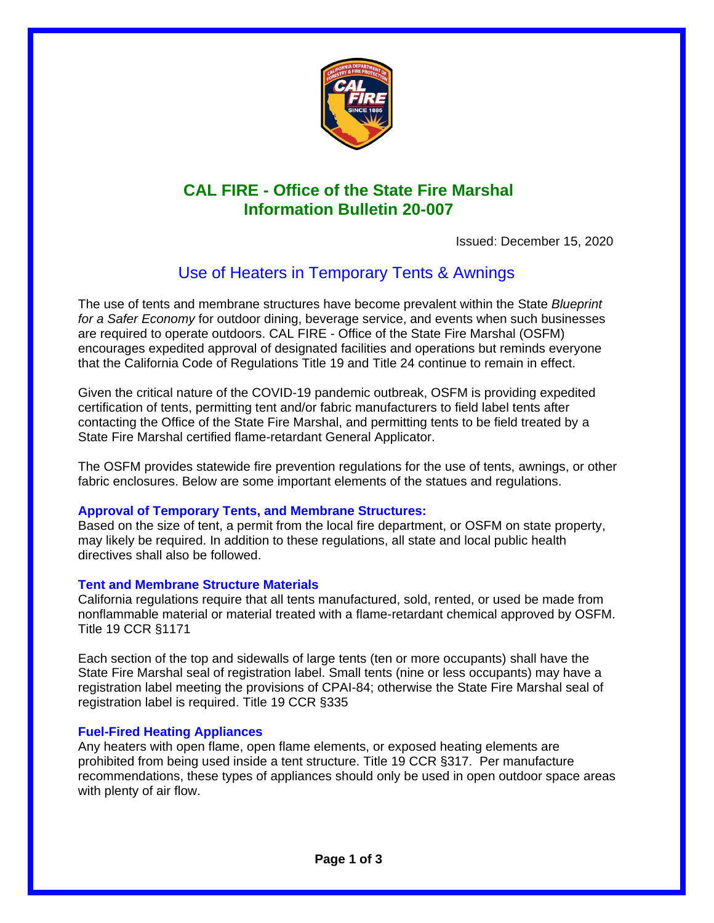

# **CAL FIRE - Office of the State Fire Marshal Information Bulletin 20-007**

Issued: December 15, 2020

# Use of Heaters in Temporary Tents & Awnings

The use of tents and membrane structures have become prevalent within the State *Blueprint for a Safer Economy* for outdoor dining, beverage service, and events when such businesses are required to operate outdoors. CAL FIRE - Office of the State Fire Marshal (OSFM) encourages expedited approval of designated facilities and operations but reminds everyone that the California Code of Regulations Title 19 and Title 24 continue to remain in effect.

Given the critical nature of the COVID-19 pandemic outbreak, OSFM is providing expedited certification of tents, permitting tent and/or fabric manufacturers to field label tents after contacting the Office of the State Fire Marshal, and permitting tents to be field treated by a State Fire Marshal certified flame-retardant General Applicator.

The OSFM provides statewide fire prevention regulations for the use of tents, awnings, or other fabric enclosures. Below are some important elements of the statues and regulations.

## **Approval of Temporary Tents, and Membrane Structures:**

Based on the size of tent, a permit from the local fire department, or OSFM on state property, may likely be required. In addition to these regulations, all state and local public health directives shall also be followed.

## **Tent and Membrane Structure Materials**

California regulations require that all tents manufactured, sold, rented, or used be made from nonflammable material or material treated with a flame-retardant chemical approved by OSFM. Title 19 CCR §1171

Each section of the top and sidewalls of large tents (ten or more occupants) shall have the State Fire Marshal seal of registration label. Small tents (nine or less occupants) may have a registration label meeting the provisions of CPAI-84; otherwise the State Fire Marshal seal of registration label is required. Title 19 CCR §335

### **Fuel-Fired Heating Appliances**

Any heaters with open flame, open flame elements, or exposed heating elements are prohibited from being used inside a tent structure. Title 19 CCR §317. Per manufacture recommendations, these types of appliances should only be used in open outdoor space areas with plenty of air flow.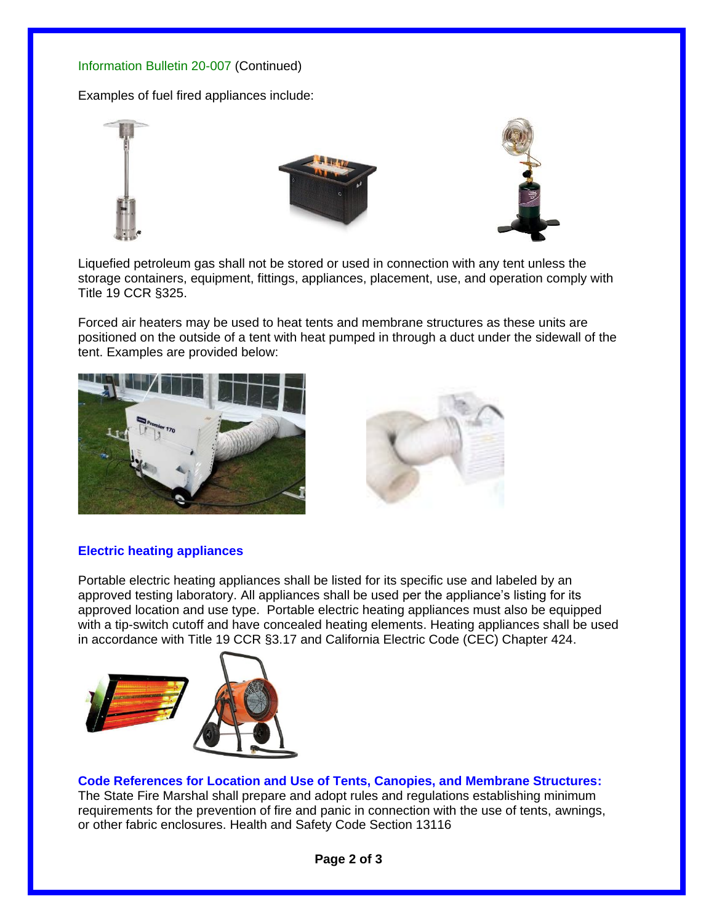## Information Bulletin 20-007 (Continued)

Examples of fuel fired appliances include:



Liquefied petroleum gas shall not be stored or used in connection with any tent unless the storage containers, equipment, fittings, appliances, placement, use, and operation comply with Title 19 CCR §325.

Forced air heaters may be used to heat tents and membrane structures as these units are positioned on the outside of a tent with heat pumped in through a duct under the sidewall of the tent. Examples are provided below:





## **Electric heating appliances**

Portable electric heating appliances shall be listed for its specific use and labeled by an approved testing laboratory. All appliances shall be used per the appliance's listing for its approved location and use type. Portable electric heating appliances must also be equipped with a tip-switch cutoff and have concealed heating elements. Heating appliances shall be used in accordance with Title 19 CCR §3.17 and California Electric Code (CEC) Chapter 424.



**Code References for Location and Use of Tents, Canopies, and Membrane Structures:** The State Fire Marshal shall prepare and adopt rules and regulations establishing minimum requirements for the prevention of fire and panic in connection with the use of tents, awnings, or other fabric enclosures. Health and Safety Code Section 13116